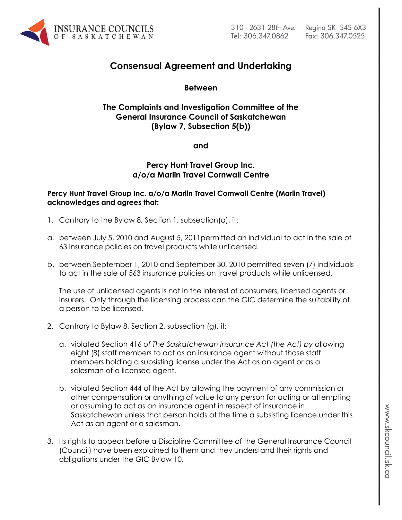

# **Consensual Agreement and Undertaking**

## **Between**

## **The Complaints and Investigation Committee of the General Insurance Council of Saskatchewan (Bylaw 7, Subsection 5(b))**

**and**

## **Percy Hunt Travel Group Inc. a/o/a Marlin Travel Cornwall Centre**

### Percy Hunt Travel Group Inc. a/o/a Marlin Travel Cornwall Centre (Marlin Travel) **acknowledges and agrees that:**

- 1. Contrary to the Bylaw 8, Section 1, subsection(a), it:
- a. between July 5, 2010 and August 5, 2011permitted an individual to act in the sale of 63 insurance policies on travel products while unlicensed.
- b. between September 1, 2010 and September 30, 2010 permitted seven (7) individuals to act in the sale of 563 insurance policies on travel products while unlicensed.

The use of unlicensed agents is not in the interest of consumers, licensed agents or insurers. Only through the licensing process can the GIC determine the suitability of a person to be licensed.

- 2. Contrary to Bylaw 8, Section 2, subsection (g), it:
	- a. violated Section 416 *of The Saskatchewan Insurance Act (the Act) by* allowing eight (8) staff members to act as an insurance agent without those staff members holding a subsisting license under the Act as an agent or as a salesman of a licensed agent.
	- b. violated Section 444 of the Act by allowing the payment of any commission or other compensation or anything of value to any person for acting or attempting or assuming to act as an insurance agent in respect of insurance in Saskatchewan unless that person holds at the time a subsisting licence under this Act as an agent or a salesman.
- 3. Its rights to appear before a Discipline Committee of the General Insurance Council (Council) have been explained to them and they understand their rights and obligations under the GIC Bylaw 10.